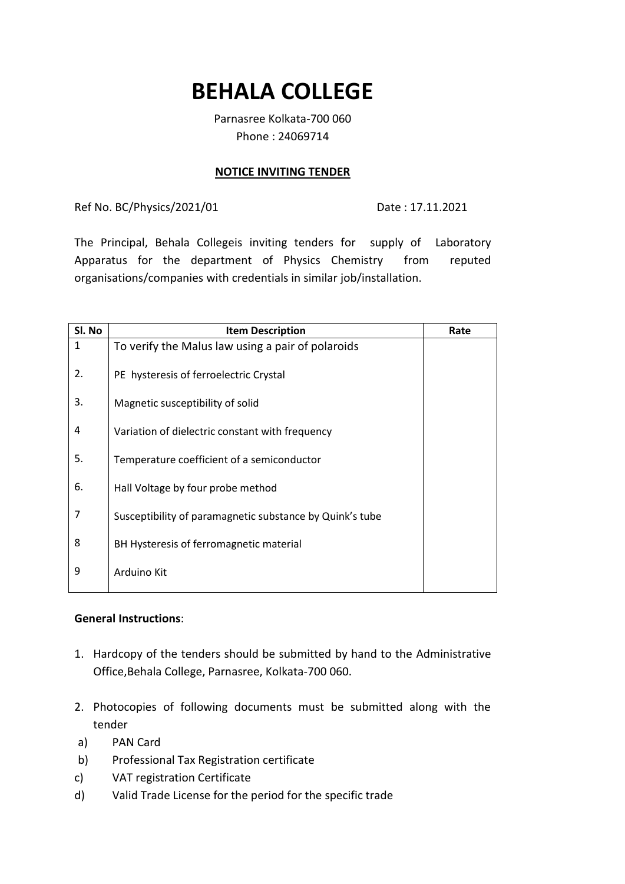# **BEHALA COLLEGE**

Parnasree Kolkata-700 060 Phone : 24069714

#### **NOTICE INVITING TENDER**

Ref No. BC/Physics/2021/01 Date: 17.11.2021

The Principal, Behala Collegeis inviting tenders for supply of Laboratory Apparatus for the department of Physics Chemistry from reputed organisations/companies with credentials in similar job/installation.

| Sl. No | <b>Item Description</b>                                  | Rate |
|--------|----------------------------------------------------------|------|
| 1      | To verify the Malus law using a pair of polaroids        |      |
| 2.     | PE hysteresis of ferroelectric Crystal                   |      |
| 3.     | Magnetic susceptibility of solid                         |      |
|        |                                                          |      |
| 4      | Variation of dielectric constant with frequency          |      |
|        |                                                          |      |
| 5.     | Temperature coefficient of a semiconductor               |      |
| 6.     | Hall Voltage by four probe method                        |      |
|        |                                                          |      |
| 7      | Susceptibility of paramagnetic substance by Quink's tube |      |
|        |                                                          |      |
| 8      | BH Hysteresis of ferromagnetic material                  |      |
| 9      | Arduino Kit                                              |      |
|        |                                                          |      |

## **General Instructions**:

- 1. Hardcopy of the tenders should be submitted by hand to the Administrative Office,Behala College, Parnasree, Kolkata-700 060.
- 2. Photocopies of following documents must be submitted along with the tender
- a) PAN Card
- b) Professional Tax Registration certificate
- c) VAT registration Certificate
- d) Valid Trade License for the period for the specific trade